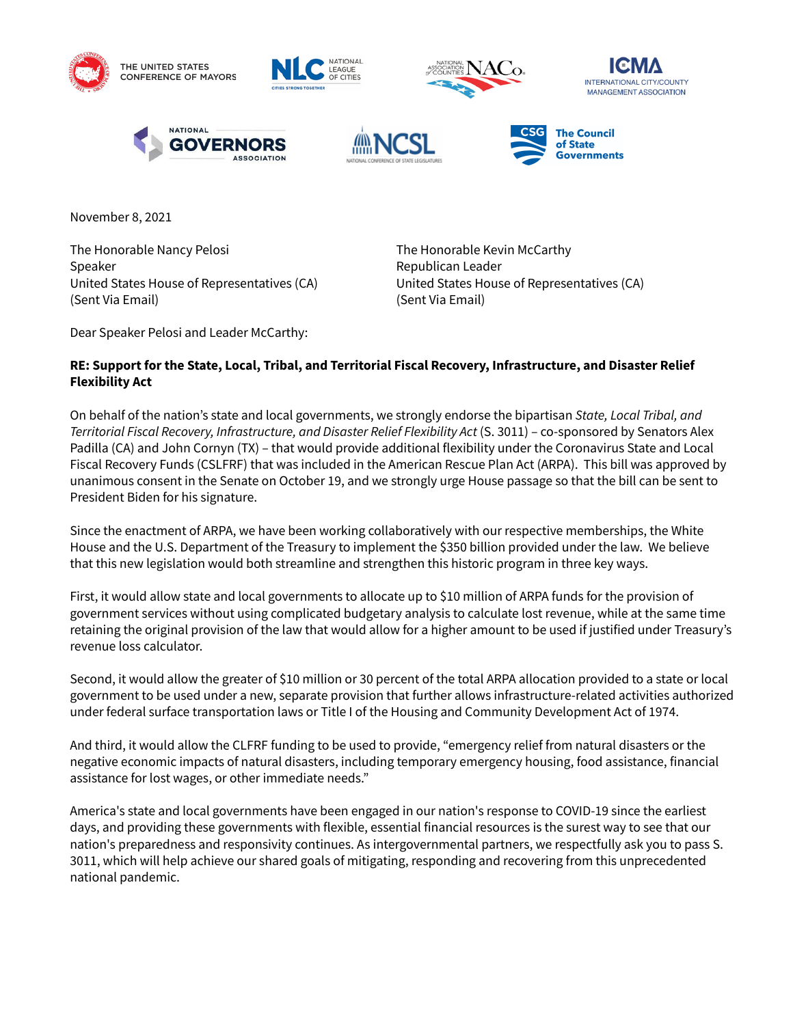













November 8, 2021

The Honorable Nancy Pelosi **The Honorable Kevin McCarthy** Speaker **Republican Leader** Republican Leader United States House of Representatives (CA) United States House of Representatives (CA) (Sent Via Email) (Sent Via Email)

Dear Speaker Pelosi and Leader McCarthy:

## **RE: Support for the State, Local, Tribal, and Territorial Fiscal Recovery, Infrastructure, and Disaster Relief Flexibility Act**

On behalf of the nation's state and local governments, we strongly endorse the bipartisan *State, Local Tribal, and Territorial Fiscal Recovery, Infrastructure, and Disaster Relief Flexibility Act* (S. 3011) – co-sponsored by Senators Alex Padilla (CA) and John Cornyn (TX) – that would provide additional flexibility under the Coronavirus State and Local Fiscal Recovery Funds (CSLFRF) that was included in the American Rescue Plan Act (ARPA). This bill was approved by unanimous consent in the Senate on October 19, and we strongly urge House passage so that the bill can be sent to President Biden for his signature.

Since the enactment of ARPA, we have been working collaboratively with our respective memberships, the White House and the U.S. Department of the Treasury to implement the \$350 billion provided under the law. We believe that this new legislation would both streamline and strengthen this historic program in three key ways.

First, it would allow state and local governments to allocate up to \$10 million of ARPA funds for the provision of government services without using complicated budgetary analysis to calculate lost revenue, while at the same time retaining the original provision of the law that would allow for a higher amount to be used if justified under Treasury's revenue loss calculator.

Second, it would allow the greater of \$10 million or 30 percent of the total ARPA allocation provided to a state or local government to be used under a new, separate provision that further allows infrastructure-related activities authorized under federal surface transportation laws or Title I of the Housing and Community Development Act of 1974.

And third, it would allow the CLFRF funding to be used to provide, "emergency relief from natural disasters or the negative economic impacts of natural disasters, including temporary emergency housing, food assistance, financial assistance for lost wages, or other immediate needs."

America's state and local governments have been engaged in our nation's response to COVID-19 since the earliest days, and providing these governments with flexible, essential financial resources is the surest way to see that our nation's preparedness and responsivity continues. As intergovernmental partners, we respectfully ask you to pass S. 3011, which will help achieve our shared goals of mitigating, responding and recovering from this unprecedented national pandemic.